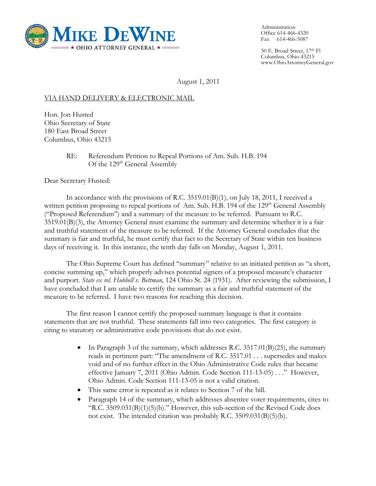

Administration Office 614-466-4320 Fax 614-466-5087

30 E. Broad Street, 17th Fl Columbus, Ohio 43215 www.OhioAttorneyGeneral.gov

August 1, 2011

## VIA HAND DELIVERY & ELECTRONIC MAIL

Hon. Jon Husted Ohio Secretary of State 180 East Broad Street Columbus, Ohio 43215

> RE: Referendum Petition to Repeal Portions of Am. Sub. H.B. 194 Of the 129<sup>th</sup> General Assembly

Dear Secretary Husted:

In accordance with the provisions of R.C. 3519.01(B)(1), on July 18, 2011, I received a written petition proposing to repeal portions of Am. Sub. H.B. 194 of the 129<sup>th</sup> General Assembly ("Proposed Referendum") and a summary of the measure to be referred. Pursuant to R.C. 3519.01(B)(3), the Attorney General must examine the summary and determine whether it is a fair and truthful statement of the measure to be referred. If the Attorney General concludes that the summary is fair and truthful, he must certify that fact to the Secretary of State within ten business days of receiving it. In this instance, the tenth day falls on Monday, August 1, 2011.

The Ohio Supreme Court has defined "summary" relative to an initiated petition as "a short, concise summing up," which properly advises potential signers of a proposed measure's character and purport. *State ex rel. Hubbell v. Bettman*, 124 Ohio St. 24 (1931). After reviewing the submission, I have concluded that I am unable to certify the summary as a fair and truthful statement of the measure to be referred. I have two reasons for reaching this decision.

The first reason I cannot certify the proposed summary language is that it contains statements that are not truthful. These statements fall into two categories. The first category is citing to statutory or administrative code provisions that do not exist.

- In Paragraph 3 of the summary, which addresses R.C.  $3517.01(B)(25)$ , the summary reads in pertinent part: "The amendment of R.C. 3517.01 . . . supersedes and makes void and of no further effect in the Ohio Administrative Code rules that became effective January 7, 2011 (Ohio Admin. Code Section 111-13-05) . . ." However, Ohio Admin. Code Section 111-13-05 is not a valid citation.
- This same error is repeated as it relates to Section 7 of the bill.
- Paragraph 14 of the summary, which addresses absentee voter requirements, cites to "R.C.  $3509.031(B)(1)(5)(b)$ ." However, this sub-section of the Revised Code does not exist. The intended citation was probably R.C. 3509.031(B)(5)(b).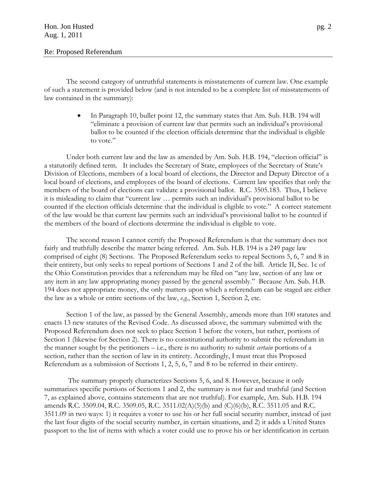The second category of untruthful statements is misstatements of current law. One example of such a statement is provided below (and is not intended to be a complete list of misstatements of law contained in the summary):

> • In Paragraph 10, bullet point 12, the summary states that Am. Sub. H.B. 194 will "eliminate a provision of current law that permits such an individual's provisional ballot to be counted if the election officials determine that the individual is eligible to vote."

 Under both current law and the law as amended by Am. Sub. H.B. 194, "election official" is a statutorily defined term. It includes the Secretary of State, employees of the Secretary of State's Division of Elections, members of a local board of elections, the Director and Deputy Director of a local board of elections, and employees of the board of elections. Current law specifies that only the members of the board of elections can validate a provisional ballot. R.C. 3505.183. Thus, I believe it is misleading to claim that "current law … permits such an individual's provisional ballot to be counted if the election officials determine that the individual is eligible to vote." A correct statement of the law would be that current law permits such an individual's provisional ballot to be counted if the members of the board of elections determine the individual is eligible to vote.

The second reason I cannot certify the Proposed Referendum is that the summary does not fairly and truthfully describe the matter being referred. Am. Sub. H.B. 194 is a 249 page law comprised of eight (8) Sections. The Proposed Referendum seeks to repeal Sections 5, 6, 7 and 8 in their entirety, but only seeks to repeal portions of Sections 1 and 2 of the bill. Article II, Sec. 1c of the Ohio Constitution provides that a referendum may be filed on "any law, section of any law or any item in any law appropriating money passed by the general assembly." Because Am. Sub. H.B. 194 does not appropriate money, the only matters upon which a referendum can be staged are either the law as a whole or entire sections of the law, *e.g.*, Section 1, Section 2, etc.

Section 1 of the law, as passed by the General Assembly, amends more than 100 statutes and enacts 13 new statutes of the Revised Code. As discussed above, the summary submitted with the Proposed Referendum does not seek to place Section 1 before the voters, but rather, portions of Section 1 (likewise for Section 2). There is no constitutional authority to submit the referendum in the manner sought by the petitioners – i.e., there is no authority to submit *certain* portions of a section, rather than the section of law in its entirety. Accordingly, I must treat this Proposed Referendum as a submission of Sections 1, 2, 5, 6, 7 and 8 to be referred in their entirety.

 The summary properly characterizes Sections 5, 6, and 8. However, because it only summarizes specific portions of Sections 1 and 2, the summary is not fair and truthful (and Section 7, as explained above, contains statements that are not truthful). For example, Am. Sub. H.B. 194 amends R.C. 3509.04, R.C. 3509.05, R.C. 3511.02(A)(5)(b) and (C)(6)(b), R.C. 3511.05 and R.C. 3511.09 in two ways: 1) it requires a voter to use his or her full social security number, instead of just the last four digits of the social security number, in certain situations, and 2) it adds a United States passport to the list of items with which a voter could use to prove his or her identification in certain